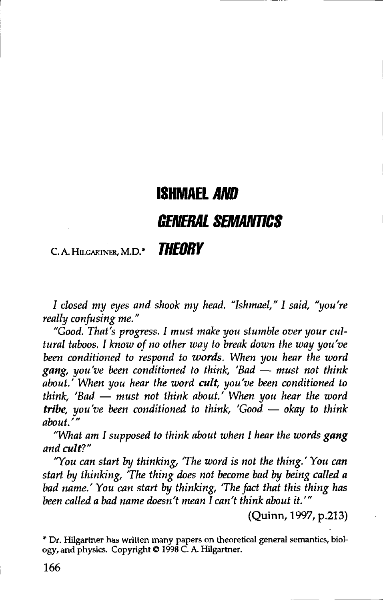## ISHMAEL AND GENERAL SEMANTICS

### C. A. HILGARTNER, M.D. \*  $\blacksquare$

I closed my eyes and shook my head. "Ishmael," I said, "you're really confusing me."

"Good. That's progress. I must make you stumble over your cul tural taboos. I know of no other way to break down the way you've been conditioned to respond to words. When you hear the word gang, you've been conditioned to think, 'Bad  $-$  must not think about.' When you hear the word cult, you've been conditioned to think, 'Bad  $-$  must not think about.' When you hear the word tribe, you've been conditioned to think, 'Good  $-$  okay to think about.'"

"What am I supposed to think about when I hear the words gang and cult?"

"You can start by thinking, 'The word is not the thing.' You can start by thinking, 'The thing does not become bad by being called a bad name.' You can start by thinking, 'The fact that this thing has been called a bad name doesn't mean  $\tilde{I}$  can't think about it.'"

(Quinn, 1997, p.213)

\* Dr. Hilgartner has written many papers on theoretical general semantics, biology, and physics. Copyright © 1998 C. A. Hilgartner.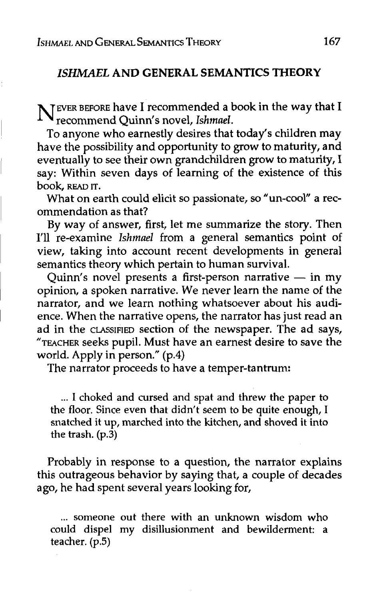#### ISHMAEL AND GENERAL SEMANTICS THEORY

NEVER BEFORE have I recommended a book in the way that I<br>recommend Quinn's novel, Ishmael. recommend Quinn's novel, Ishmel.

To anyone who earnestly desires that today's children may have the possibility and opportunity to grow to maturity, and eventually to see their own grandchildren grow to maturity, I say: Within seven days of learning of the existence of this book, READ IT.

What on earth could elicit so passionate, so "un-cool" a recommendation as that?

By way of answer, first, let me summarize the story. Then I'll re-examine Ishmael from a general semantics point of view, taking into account recent developments in general semantics theory which pertain to human survival.

Quinn's novel presents a first-person narrative  $-$  in my opinion, a spoken narrative. We never learn the name of the narrator, and we learn nothing whatsoever about his audience. When the narrative opens, the narrator has just read an ad in the CLASSIFIED section of the newspaper. The ad says, "TEACHER seeks pupil. Must have an earnest desire to save the world. Apply in person." (p.4)

The narrator proceeds to have a temper-tantrum:

... I choked and cursed and spat and threw the paper to the floor. Since even that didn't seem to be quite enough, I snatched it up, marched into the kitchen, and shoved it into the trash.  $(p.\overline{3})$ 

Probably in response to a question, the narrator explains this outrageous behavior by saying that, a couple of decades ago, he had spent several years looking for,

... someone out there with an unknown wisdom who could dispel my disillusionment and bewilderment: a teacher.  $(p.5)$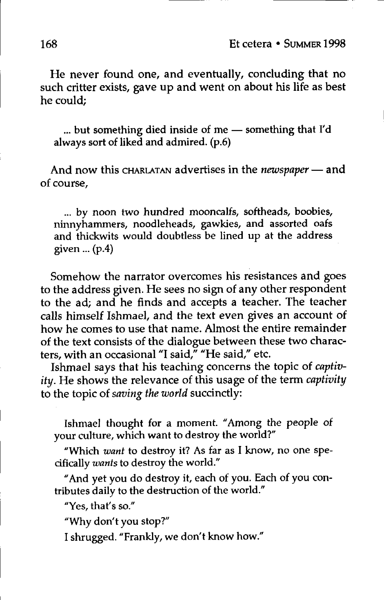He never found one, and eventually, concluding that no such critter exists, gave up and went on about his life as best he could:

... but something died inside of me - something that I'd always sort of liked and admired. (p.6)

And now this CHARLATAN advertises in the *newspaper* - and of course,

... by noon two hundred mooncalfs, softheads, boobies, ninnyhammers, noodleheads, gawkies, and assorted oafs and thickwits would doubtless be lined up at the address given ...  $(p.4)$ 

Somehow the narrator overcomes his resistances and goes to the address given. He sees no sign of any other respondent to the ad; and he finds and accepts a teacher. The teacher calls himself Ishmael, and the text even gives an account of how he comes to use that name. Almost the entire remainder of the text consists of the dialogue between these two characters, with an occasional "I said," "He said," etc.

Ishmael says that his teaching concerns the topic of captivity. He shows the relevance of this usage of the term captivity to the topic of saving the world succinctly:

Ishmael thought for a moment. "Among the people of your culture, which want to destroy the world?"

"Which want to destroy it? As far as I know, no one specifically wants to destroy the world."

"And yet you do destroy it, each of you. Each of you contributes daily to the destruction of the world."

"Yes, that's so."

"Why don't you stop?"

I shrugged. "Frankly, we don't know how."

168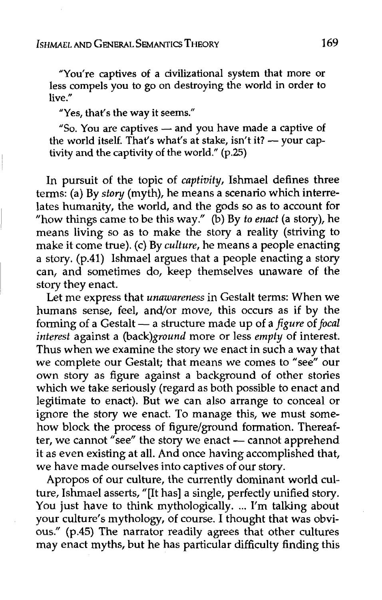"You're captives of a civilizational system that more or less compels you to go on destroying the world in order to live ."

"Yes, that's the way it seems."

"So. You are captives - and you have made a captive of the world itself. That's what's at stake, isn't it?  $-$  your captivity and the captivity of the world."  $(p.25)$ 

In pursuit of the topic of captivity, Ishmael defines three terms: (a) By story (myth), he means a scenario which interrelates humanity, the world, and the gods so as to account for "how things came to be this way." (b) by *to enact* (a story), he means living so as to make the story a reality (striving to make it come true). (c) By *culture*, he means a people enacting a story. (p.41) Ishmael argues that a people enacting a story can, and sometimes do, keep themselves unaware of the story they enact.

Let me express that unawareness in Gestalt terms: When we humans sense, feel, and/or move, this occurs as if by the forming of a Gestalt - a structure made up of a figure of focal interest against a (back)ground more or less empty of interest. Thus when we examine the story we enact in such a way that we complete our Gestalt; that means we comes to "see" our own story as figure against a background of other stories which we take seriously (regard as both possible to enact and legitimate to enact). But we can also arrange to conceal or ignore the story we enact. To manage this, we must somehow block the process of figure/ground formation. Thereafter, we cannot "see" the story we enact --- cannot apprehend it as even existing at all. And once having accomplished that, we have made ourselves into captives of our story.

Apropos of our culture, the currently dominant world culture, Ishmael asserts, "[It has] a single, perfectly unified story. You just have to think mythologically. ... I'm talking about your culture's mythology, of course. I thought that was obvious." (p.45) The narrator readily agrees that other cultures may enact myths, but he has particular difficulty finding this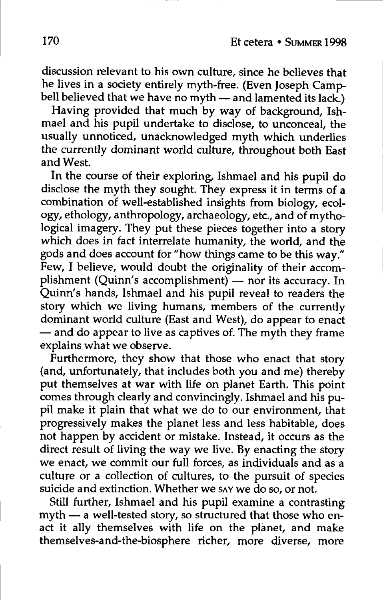discussion relevant to his own culture, since he believes that he lives in a society entirely myth-free. (Even Joseph Campbell believed that we have no myth  $-$  and lamented its lack.)

Having provided that much by way of background, Ishmael and his pupil undertake to disclose, to unconceal, the usully unnoticed, unacknowledged myth which underlies the currently dominant world culture, throughout both East and West.

In the course of their exploring, Ishmael and his pupil do disclose the myth they sought. They express it in terms of a combination of well-established insights from biology, ecology, ethology, anthropology, archaeology, etc., and of mythological imagery. They put these pieces together into a story which does in fact interrelate humanity, the world, and the gods and does account for "how things came to be this way." Few, I believe, would doubt the originality of their accomplishment (Quinn's accomplishment) - nor its accuracy. In Quinn's hands, Ishmael and his pupil reveal to readers the story which we living humans, members of the currently dominant world culture (East and West), do appear to enact  $-$  and do appear to live as captives of. The myth they frame explains what we observe.

Furthermore, they show that those who enact that story (and, unfortunately, that includes both you and me) thereby put themselves at war with life on planet Earth. This point comes through clearly and convincingly. Ishmael and his pupil make it plain that what we do to our environment, that progressively makes the planet less and less habitable, does not happen by accident or mistake. Instead, it occurs as the direct result of living the way we live. By enacting the story we enact, we commit our full forces, as individuals and as a culture or a collection of cultures, to the pursuit of species suicide and extinction. Whether we say we do so, or not.

Still further, Ishmael and his pupil examine a contrasting myth  $-$  a well-tested story, so structured that those who enact it ally themselves with life on the planet, and make themselves-nd-the-biosphere richer, more diverse, more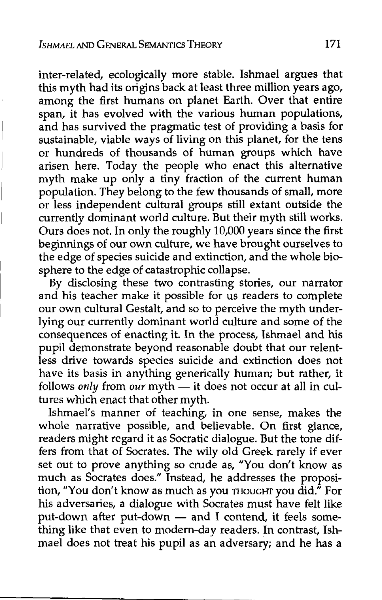inter-related, ecologically more stable. Ishmael argues that this myth had its origins back at least three million years ago, among the first humans on planet Earth. Over that entire span, it has evolved with the various human populations, and has survived the pragmatic test of providing a basis for sustainable, viable ways of living on this planet, for the tens or hundreds of thousands of human groups which have arisen here. Today the people who enact this alternative myth make up only a tiny fraction of the current human population. They belong to the few thousands of small, more or less independent cultural groups still extant outside the currently dominant world culture. But their myth still works. Ours does not. In only the roughly 10,000 years since the first beginnings of our own culture, we have brought ourselves to the edge of species suicide and extinction, and the whole biosphere to the edge of catastrophic collapse.

By disclosing these two contrasting stories, our narrator and his teacher make it possible for us readers to complete our own cultural Gestalt, and so to perceive the myth underlying our currently dominant world culture and some of the consequences of enacting it. In the process, Ishmael and his pupil demonstrate beyond reasonable doubt that our relentless drive towards species suicide and extinction does not have its basis in anything generically human; but rather, it follows only from our myth  $-$  it does not occur at all in cultures which enact that other myth.

Ishmael's manner of teaching, in one sense, makes the whole narrative possible, and believable. On first glance, readers might regard it as Socratic dialogue. But the tone differs from that of Socrates. The wily old Greek rarely if ever set out to prove anything so crude as, "You don't know as much as Socrates does." Instead, he addresses the proposition, "You don't know as much as you THOUGHT you did." For his adversaries, a dialogue with Socrates must have felt like put-down after put-down  $-$  and I contend, it feels something like that even to modern-day readers. In contrast, Ishmael does not treat his pupil as an adversary; and he has a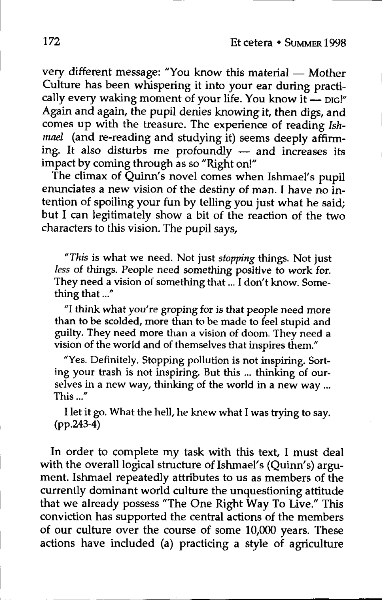very different message: "You know this material - Mother Culture has been whispering it into your ear during practically every waking moment of your life. You know it  $\frac{1}{\cdot}$  pig!" Again and again, the pupil denies knowing it, then digs, and comes up with the treasure. The experience of reading Ish $mael$  (and re-reading and studying it) seems deeply affirming. It also disturbs me profoundly  $-$  and increases its impact by coming through as so "Right on!"

The climax of Quinn's novel comes when Ishmael's pupil enunciates a new vision of the destiny of man. I have no intention of spoiling your fun by telling you just what he said; but I can legitimately show a bit of the reaction of the two characters to this vision. The pupil says,

"This is what we need. Not just stopping things. Not just less of things. People need something positive to work for. They need a vision of something that ... I don't know. Something that ..."

"I think what you're groping for is that people need more than to be scolded, more than to be made to feel stupid and guilty. They need more than a vision of doom. They need a vision of the world and of themselves that inspires them."

"Yes. Definitely. Stopping pollution is not inspiring. Sorting your trash is not inspiring. But this ... thinking of ourselves in a new way, thinking of the world in a new way ... This ..."

I let it go. What the hell, he knew what I was trying to say.  $(pp.243-4)$ 

In order to complete my task with this text, I must deal with the overall logical structure of Ishmael's (Quinn's) argument. Ishmael repeatedly attributes to us as members of the currently dominant world culture the unquestioning attitude currently dominnt world culture the unquestioning ttitude that we already possess "The One Right Way To Live." This conviction has supported the central actions of the members of our culture over the course of some 10,000 years. These actions have included (a) practicing a style of agriculture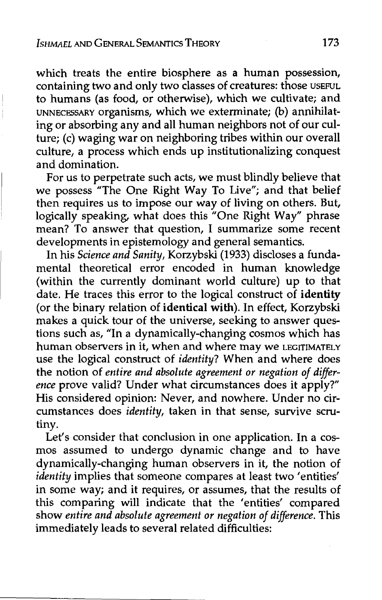which treats the entire biosphere as a numan possession, containing two and only two classes of creatures: those USEFUL to humans (as food, or otherwise), which we cultivate; and UNNECESSARY organisms, which we exterminate; (b) annihilating or absorbing any and all human neighbors not of our culture; (c) waging war on neighboring tribes within our overall culture, a process which ends up institutionalizing conquest and domination.

For us to perpetrate such acts, we must blindly believe that we possess "The One Right Way To Live"; and that belief then requires us to impose our way or living on others. But, logically speaking, what does this "One Right Way" phrase mean? To answer that question, I summarize some recent developments in epistemology and general semantics.

In his Science and Sanity, Korzybski (1933) discloses a fundamental theoretical error encoded in human knowledge (within the currently dominant world culture) up to that date. He traces this error to the logical construct of identity (or the binary relation of identical with). In effect, Korzybski makes a quick tour of the universe, seeking to answer questions such as, "In a dynamically-changing cosmos which has human observers in it, when and where may we LEGITIMATELY use the logical construct of *identity*? When and where does the notion of entire and absolute agreement or negation of difference prove valid? Under what circumstances does it apply?" His considered opinion: Never, and nowhere. Under no circumstances does *identity*, taken in that sense, survive scrutiny.

Let's consider that conclusion in one application. In a cosmos assumed to undergo dynamic change and to have aynamically-changing numan observers in it, the notion of identity implies that someone compares at least two 'entities' in some way; and it requires, or assumes, that the results of this comparing will indicate that the 'entities' compared show entire and absolute agreement or negation of difference. This immediately leads to several related difficulties: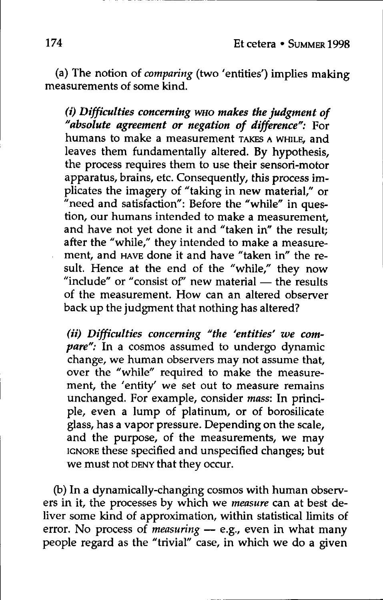(a) The notion of *comparing* (two 'entities') implies making measurements of some kind.

 $(i)$  Difficulties concerning who makes the judgment of "absolute agreement or negation of difference": For humans to make a measurement TAKES A WHILE, and leaves them fundamentally altered. By hypothesis, the process requires them to use their sensori-motor apparatus, brains, etc. Consequently, this process implicates the imagery of "taking in new material," or "need and satisfaction": Before the "while" in question, our humans intended to make a measurement, and have not yet done it and "taken in" the result; after the "while," they intended to make a measurement, and HAVE done it and have "taken in" the resuit. Hence at the end of the "while," they now<br>"include" or "consist of" new material — the results of the measurement. How can an altered observer back up the judgment that nothing has altered?

(ii) Difficulties concerning "the 'entities' we com $pare''$ : In a cosmos assumed to undergo dynamic ,<br>change, we human observers may not assume that, over the "while" required to make the measurement, the 'entity' we set out to measure remains unchanged. For example, consider mass: In principle, even a lump of platinum, or of borosilicate glass, has a vapor pressure. Depending on the scale, and the purpose, of the measurements, we may IGNORE these specified and unspecified changes; but we must not DENY that they occur.

(b) in a dynamically-changing cosmos with human observers in it, the processes by which we *measure* can at best deliver some kind of approximation, within statistical limits of error. No process of measuring  $-$  e.g., even in what many people regard as the "trivial" case, in which we do a given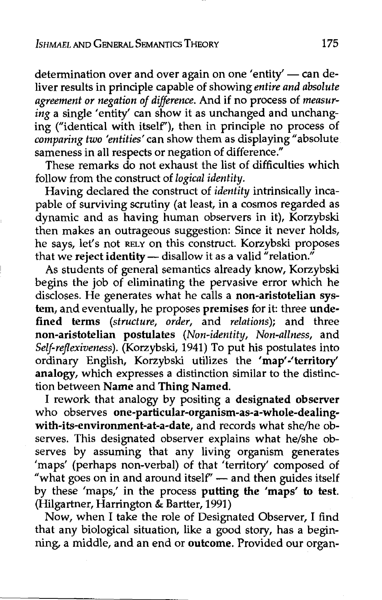# ISHMAEL AND GENERAL SEMANTICS THEORY Ishmael and

determination over and over again on one 'entity'  $-$  can deliver results in principle capable of showing entire and absolute agreement or negation of difference. And if no process of measur $ing$  a single 'entity' can show it as unchanged and unchanging ("identical with itself"), then in principle no process of comparing two 'entities' can show them as displaying "absolute sameness in all respects or negation of difference."

These remarks do not exhaust the list of difficulties which follow from the construct of logical identity.

Having declared the construct of *identity* intrinsically incapable of surviving scrutiny (at least, in a cosmos regarded as dynamic and as having human observers in it), Korzybski then makes an outrageous suggestion: Since it never holds, he says, let's not RELY on this construct. Korzybski proposes that we reject identity - disallow it as a valid "relation."

As students of general semantics already know, Korzybski begins the job of eliminating the pervasive error which he discloses. He generates what he calls a **non-aristotelian sys**tem, and eventually, he proposes premises for it: three undefined terms (structure, order, and relations); and three non-aristotelian postulates (Non-identity, Non-allness, and Self-reflexiveness). (Korzybski, 1941) To put his postulates into ordinary English, Korzybski utilizes the 'map'-'territory' analogy, which expresses a distinction similar to the distinction between Name and Thing Named.

I rework that analogy by positing a designated observer who observes one-particular-organism-as-a-whole-dealingwith-its-environment-at-a-date, and records what she/he observes. This designated observer explains what he/she observes by assuming that any living organism generates 'maps' (perhaps non-verbal) of that 'territory' composed of "what goes on in and around itself"  $-$  and then guides itself by these 'maps,' in the process putting the 'maps' to test. (Hilgartner, Harrington & Bartter, 1991)

Now, when I take the role of Designated Observer, I find that any biological situation, like a good story, has a beginning, a middle, and an end or outcome. Provided our organ-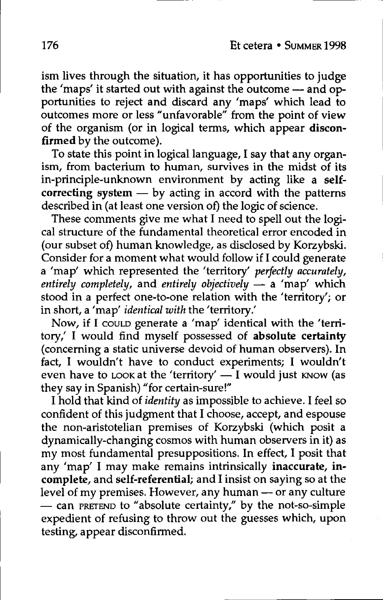ism lives through the situation, it has opportunities to judge the 'maps' it started out with against the outcome — and opportunities to reject and discard any 'maps' which lead to outcomes more or less "unfvorble" from the point of view of the organism (or in logical terms, which appear disconfirmed by the outcome).

To state this point in logical language, I say that any organism, from bacterium to human, survives in the midst of its in-principle-unknown environment by acting like a selfcorrecting system  $-$  by acting in accord with the patterns described in (at least one version of) the logic of science.

These comments give me what I need to spell out the logical structure of the fundamental theoretical error encoded in (our subset of) human knowledge, as disclosed by Korzybski. Consider for a moment what would follow if I could generate a 'map' which represented the 'territory' perfectly accurately, entirely completely, and entirely objectively  $-$  a 'map' which stood in a perfect one-to-one relation with the 'territory'; or in short, a 'map' identical with the 'territory.'

Now, if I could generate a 'map' identical with the 'territory,' I would find myself possessed of absolute certainty (concerning a static universe devoid of human observers). In fact, I wouldn't have to conduct experiments; I wouldn't even have to LOOK at the 'territory'  $\overline{-1}$  would just KNOW (as they say in Spanish) "for certain-sure!"

I hold that kind of identity as impossible to achieve. I feel so confident of this judgment that I choose, accept, and espouse the non-aristotelian premises of Korzybski (which posit a  $dynamically-changing cosmos with human observers in it) as$  $m<sub>V</sub>$  most fundamental presuppositions. In effect, I posit that any 'map' I may make remains intrinsically inaccurate, incomplete, and self-referential; and I insist on saying so at the level of my premises. However, any human - or any culture - can PRETEND to "absolute certainty," by the not-so-simple expedient of refusing to throw out the guesses which, upon testing, appear disconfirmed.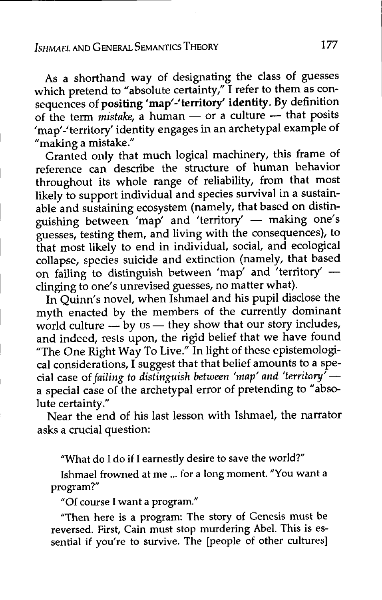As a shorthand way of designating the class of guesses which pretend to "absolute certainty," I refer to them as consequences of positing 'map'-'territory' identity. By definition of the term  $m$ istake, a human - or a culture -- that posits 'map'-'territory' identity engages in an archetypal example of "making a mistake."

Granted only that much logical machinery, this frame of reference can describe the structure of human behavior throughout its whole range of reliability, from that most likely to support individual and species survival in a sustainable and sustaining ecosystem (namely, that based on distinguishing between 'map' and 'territory' - making one's guesses, testing them, nd living with the consequences), to that most likely to end in individual, social, and ecological collapse, species suicide and extinction (namely, that based on failing to distinguish between 'map' and 'territory' clinging to one's unrevised guesses, no matter what).

In Quinn's novel, when Ishmael and his pupil disclose the myth enacted by the members of the currently dominant world culture  $-\mathbf{b}y$  us — they show that our story includes, and indeed, rests upon, the rigid belief that we have found "The One Right Way To Live." In light of these epistemological considerations, I suggest that that belief amounts to a special case of failing to distinguish between 'map' and 'territory'  $$ a special case of the archetypal error of pretending to "absolute certainty."

Near the end of his last lesson with Ishmael, the narrator asks a crucial question:

"What do I do if I earnestly desire to save the world?"

Ishmael frowned at me ... for a long moment. "You want a program?"

"Of course I want a program."

"Then here is a program: The story of Genesis must be reversed. First, Cain must stop murdering Abel. This is essential if you're to survive. The [people of other cultures]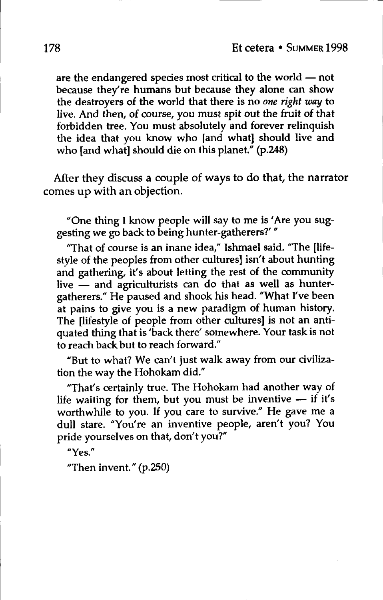are the endangered species most critical to the world  $-$  not because they're humans but because they alone can show the destroyers of the world that there is no one right way to live. And then, of course, you must spit out the fruit of that forbidden tree. You must absolutely and forever relinquish the idea that you know who [and what] should live and who [and what] should die on this planet." (p.248)

After they discuss a couple of ways to do that, the narrator comes up with an objection.

"One thing I know people will say to me is 'Are you suggesting we go back to being hunter-gatherers?'"

"That of course is an inane idea," Ishmael said. "The [lifestyle of the peoples from other cultures] isn't about hunting and gathering, it's about letting the rest of the community live  $\frac{1}{x}$  and agriculturists can do that as well as huntergatherers." He paused and shook his head. "What I've been at pains to give you is a new paradigm of human history. The [lifestyle of people from other cultures] is not an antiquated thing that is 'back there' somewhere. Your task is not to reach back but to reach forward."

"But to what? We can't just walk away from our civilization the way the Hohokam did."

"That's certainly true. The Hohokam had another way of life waiting for them, but you must be inventive  $-$  if it's worthwhile to you. If you care to survive." He gave me a dull stare. "You're an inventive people, aren't you? You pride yourselves on that, don't you?"

"Yes."

"Then invent."  $(p.250)$